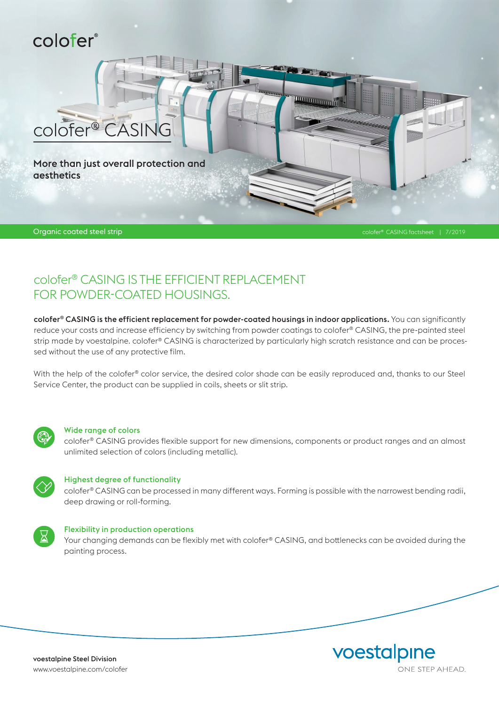# colofer®

More than just overall protection and aesthetics

colofer® CASING

Organic coated steel strip colofer® CASING factsheet | 7/2019

### colofer® CASING IS THE EFFICIENT REPLACEMENT FOR POWDER-COATED HOUSINGS.

colofer® CASING is the efficient replacement for powder-coated housings in indoor applications. You can significantly reduce your costs and increase efficiency by switching from powder coatings to colofer® CASING, the pre-painted steel strip made by voestalpine. colofer® CASING is characterized by particularly high scratch resistance and can be processed without the use of any protective film.

<u> Humaniminin</u>

With the help of the colofer® color service, the desired color shade can be easily reproduced and, thanks to our Steel Service Center, the product can be supplied in coils, sheets or slit strip.



#### Wide range of colors

colofer® CASING provides flexible support for new dimensions, components or product ranges and an almost unlimited selection of colors (including metallic).



#### Highest degree of functionality

colofer® CASING can be processed in many different ways. Forming is possible with the narrowest bending radii, deep drawing or roll-forming.



#### Flexibility in production operations

Your changing demands can be flexibly met with colofer® CASING, and bottlenecks can be avoided during the painting process.

voestalpine Steel Division www.voestalpine.com/colofer voestalpine ONE STEP AHEAD.